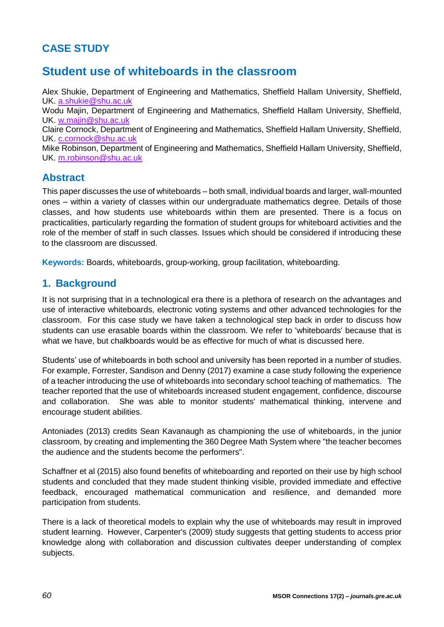# **CASE STUDY**

# **Student use of whiteboards in the classroom**

Alex Shukie, Department of Engineering and Mathematics, Sheffield Hallam University, Sheffield, UK. [a.shukie@shu.ac.uk](mailto:a.shukie@shu.ac.uk) Wodu Majin, Department of Engineering and Mathematics, Sheffield Hallam University, Sheffield, UK. [w.majin@shu.ac.uk](mailto:w.majin@shu.ac.uk)

Claire Cornock, Department of Engineering and Mathematics, Sheffield Hallam University, Sheffield, UK. [c.cornock@shu.ac.uk](mailto:c.cornock@shu.ac.uk)

Mike Robinson, Department of Engineering and Mathematics, Sheffield Hallam University, Sheffield, UK. [m.robinson@shu.ac.uk](mailto:m.robinson@shu.ac.uk)

### **Abstract**

This paper discusses the use of whiteboards – both small, individual boards and larger, wall-mounted ones – within a variety of classes within our undergraduate mathematics degree. Details of those classes, and how students use whiteboards within them are presented. There is a focus on practicalities, particularly regarding the formation of student groups for whiteboard activities and the role of the member of staff in such classes. Issues which should be considered if introducing these to the classroom are discussed.

**Keywords:** Boards, whiteboards, group-working, group facilitation, whiteboarding.

## **1. Background**

It is not surprising that in a technological era there is a plethora of research on the advantages and use of interactive whiteboards, electronic voting systems and other advanced technologies for the classroom. For this case study we have taken a technological step back in order to discuss how students can use erasable boards within the classroom. We refer to 'whiteboards' because that is what we have, but chalkboards would be as effective for much of what is discussed here.

Students' use of whiteboards in both school and university has been reported in a number of studies. For example, Forrester, Sandison and Denny (2017) examine a case study following the experience of a teacher introducing the use of whiteboards into secondary school teaching of mathematics. The teacher reported that the use of whiteboards increased student engagement, confidence, discourse and collaboration. She was able to monitor students' mathematical thinking, intervene and encourage student abilities.

Antoniades (2013) credits Sean Kavanaugh as championing the use of whiteboards, in the junior classroom, by creating and implementing the 360 Degree Math System where "the teacher becomes the audience and the students become the performers".

Schaffner et al (2015) also found benefits of whiteboarding and reported on their use by high school students and concluded that they made student thinking visible, provided immediate and effective feedback, encouraged mathematical communication and resilience, and demanded more participation from students.

There is a lack of theoretical models to explain why the use of whiteboards may result in improved student learning. However, Carpenter's (2009) study suggests that getting students to access prior knowledge along with collaboration and discussion cultivates deeper understanding of complex subjects.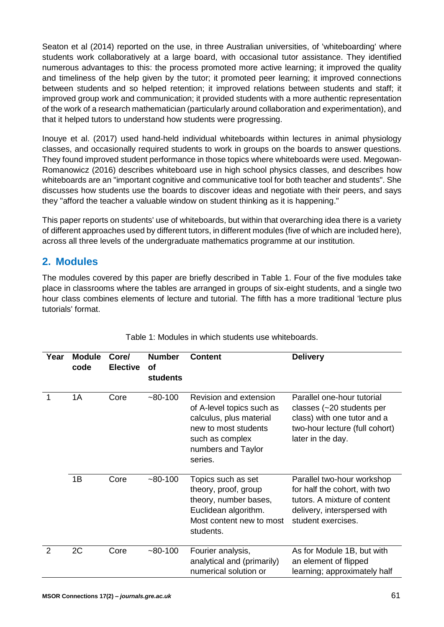Seaton et al (2014) reported on the use, in three Australian universities, of 'whiteboarding' where students work collaboratively at a large board, with occasional tutor assistance. They identified numerous advantages to this: the process promoted more active learning; it improved the quality and timeliness of the help given by the tutor; it promoted peer learning; it improved connections between students and so helped retention; it improved relations between students and staff; it improved group work and communication; it provided students with a more authentic representation of the work of a research mathematician (particularly around collaboration and experimentation), and that it helped tutors to understand how students were progressing.

Inouye et al. (2017) used hand-held individual whiteboards within lectures in animal physiology classes, and occasionally required students to work in groups on the boards to answer questions. They found improved student performance in those topics where whiteboards were used. Megowan-Romanowicz (2016) describes whiteboard use in high school physics classes, and describes how whiteboards are an "important cognitive and communicative tool for both teacher and students". She discusses how students use the boards to discover ideas and negotiate with their peers, and says they "afford the teacher a valuable window on student thinking as it is happening."

This paper reports on students' use of whiteboards, but within that overarching idea there is a variety of different approaches used by different tutors, in different modules (five of which are included here), across all three levels of the undergraduate mathematics programme at our institution.

## **2. Modules**

The modules covered by this paper are briefly described in [Table 1](#page-1-0). Four of the five modules take place in classrooms where the tables are arranged in groups of six-eight students, and a single two hour class combines elements of lecture and tutorial. The fifth has a more traditional 'lecture plus tutorials' format.

<span id="page-1-0"></span>

| Year          | <b>Module</b><br>code | Core/<br><b>Elective</b> | <b>Number</b><br>Οf<br>students | <b>Content</b>                                                                                                                                             | <b>Delivery</b>                                                                                                                                  |
|---------------|-----------------------|--------------------------|---------------------------------|------------------------------------------------------------------------------------------------------------------------------------------------------------|--------------------------------------------------------------------------------------------------------------------------------------------------|
|               | 1A                    | Core                     | ~100                            | Revision and extension<br>of A-level topics such as<br>calculus, plus material<br>new to most students<br>such as complex<br>numbers and Taylor<br>series. | Parallel one-hour tutorial<br>classes $(-20$ students per<br>class) with one tutor and a<br>two-hour lecture (full cohort)<br>later in the day.  |
|               | 1B                    | Core                     | ~100                            | Topics such as set<br>theory, proof, group<br>theory, number bases,<br>Euclidean algorithm.<br>Most content new to most<br>students.                       | Parallel two-hour workshop<br>for half the cohort, with two<br>tutors. A mixture of content<br>delivery, interspersed with<br>student exercises. |
| $\mathcal{P}$ | 2C                    | Core                     | ~100                            | Fourier analysis,<br>analytical and (primarily)<br>numerical solution or                                                                                   | As for Module 1B, but with<br>an element of flipped<br>learning; approximately half                                                              |

Table 1: Modules in which students use whiteboards.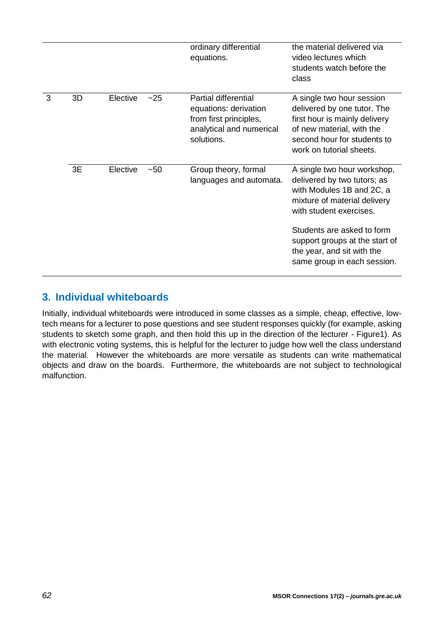|   |    |          |       | ordinary differential<br>equations.                                                                                      | the material delivered via<br>video lectures which<br>students watch before the<br>class                                                                                          |
|---|----|----------|-------|--------------------------------------------------------------------------------------------------------------------------|-----------------------------------------------------------------------------------------------------------------------------------------------------------------------------------|
| 3 | 3D | Elective | $-25$ | <b>Partial differential</b><br>equations: derivation<br>from first principles,<br>analytical and numerical<br>solutions. | A single two hour session<br>delivered by one tutor. The<br>first hour is mainly delivery<br>of new material, with the<br>second hour for students to<br>work on tutorial sheets. |
|   | 3E | Elective | $-50$ | Group theory, formal<br>languages and automata.                                                                          | A single two hour workshop,<br>delivered by two tutors; as<br>with Modules 1B and 2C, a<br>mixture of material delivery<br>with student exercises.                                |
|   |    |          |       |                                                                                                                          | Students are asked to form<br>support groups at the start of<br>the year, and sit with the<br>same group in each session.                                                         |

## **3. Individual whiteboards**

Initially, individual whiteboards were introduced in some classes as a simple, cheap, effective, lowtech means for a lecturer to pose questions and see student responses quickly (for example, asking students to sketch some graph, and then hold this up in the direction of the lecturer - [Figure1](#page-3-0)). As with electronic voting systems, this is helpful for the lecturer to judge how well the class understand the material. However the whiteboards are more versatile as students can write mathematical objects and draw on the boards. Furthermore, the whiteboards are not subject to technological malfunction.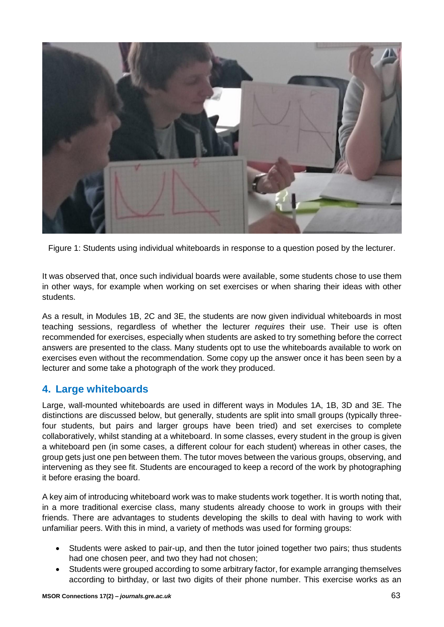

Figure 1: Students using individual whiteboards in response to a question posed by the lecturer.

<span id="page-3-0"></span>It was observed that, once such individual boards were available, some students chose to use them in other ways, for example when working on set exercises or when sharing their ideas with other students.

As a result, in Modules 1B, 2C and 3E, the students are now given individual whiteboards in most teaching sessions, regardless of whether the lecturer *requires* their use. Their use is often recommended for exercises, especially when students are asked to try something before the correct answers are presented to the class. Many students opt to use the whiteboards available to work on exercises even without the recommendation. Some copy up the answer once it has been seen by a lecturer and some take a photograph of the work they produced.

## **4. Large whiteboards**

Large, wall-mounted whiteboards are used in different ways in Modules 1A, 1B, 3D and 3E. The distinctions are discussed below, but generally, students are split into small groups (typically threefour students, but pairs and larger groups have been tried) and set exercises to complete collaboratively, whilst standing at a whiteboard. In some classes, every student in the group is given a whiteboard pen (in some cases, a different colour for each student) whereas in other cases, the group gets just one pen between them. The tutor moves between the various groups, observing, and intervening as they see fit. Students are encouraged to keep a record of the work by photographing it before erasing the board.

A key aim of introducing whiteboard work was to make students work together. It is worth noting that, in a more traditional exercise class, many students already choose to work in groups with their friends. There are advantages to students developing the skills to deal with having to work with unfamiliar peers. With this in mind, a variety of methods was used for forming groups:

- Students were asked to pair-up, and then the tutor joined together two pairs; thus students had one chosen peer, and two they had not chosen;
- Students were grouped according to some arbitrary factor, for example arranging themselves according to birthday, or last two digits of their phone number. This exercise works as an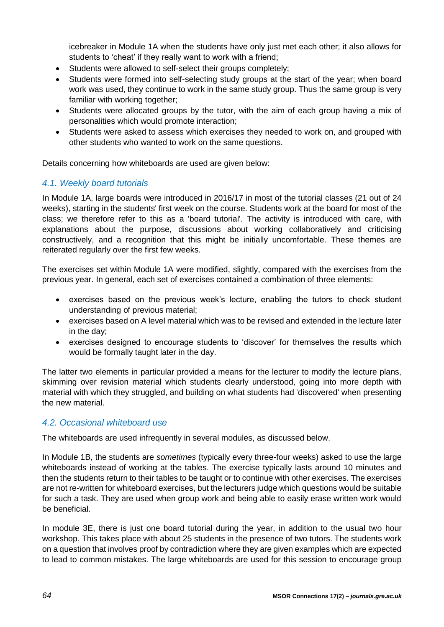icebreaker in Module 1A when the students have only just met each other; it also allows for students to 'cheat' if they really want to work with a friend;

- Students were allowed to self-select their groups completely;
- Students were formed into self-selecting study groups at the start of the year; when board work was used, they continue to work in the same study group. Thus the same group is very familiar with working together;
- Students were allocated groups by the tutor, with the aim of each group having a mix of personalities which would promote interaction;
- Students were asked to assess which exercises they needed to work on, and grouped with other students who wanted to work on the same questions.

Details concerning how whiteboards are used are given below:

### *4.1. Weekly board tutorials*

In Module 1A, large boards were introduced in 2016/17 in most of the tutorial classes (21 out of 24 weeks), starting in the students' first week on the course. Students work at the board for most of the class; we therefore refer to this as a 'board tutorial'. The activity is introduced with care, with explanations about the purpose, discussions about working collaboratively and criticising constructively, and a recognition that this might be initially uncomfortable. These themes are reiterated regularly over the first few weeks.

The exercises set within Module 1A were modified, slightly, compared with the exercises from the previous year. In general, each set of exercises contained a combination of three elements:

- exercises based on the previous week's lecture, enabling the tutors to check student understanding of previous material;
- exercises based on A level material which was to be revised and extended in the lecture later in the day;
- exercises designed to encourage students to 'discover' for themselves the results which would be formally taught later in the day.

The latter two elements in particular provided a means for the lecturer to modify the lecture plans, skimming over revision material which students clearly understood, going into more depth with material with which they struggled, and building on what students had 'discovered' when presenting the new material.

### *4.2. Occasional whiteboard use*

The whiteboards are used infrequently in several modules, as discussed below.

In Module 1B, the students are *sometimes* (typically every three-four weeks) asked to use the large whiteboards instead of working at the tables. The exercise typically lasts around 10 minutes and then the students return to their tables to be taught or to continue with other exercises. The exercises are not re-written for whiteboard exercises, but the lecturers judge which questions would be suitable for such a task. They are used when group work and being able to easily erase written work would be beneficial.

In module 3E, there is just one board tutorial during the year, in addition to the usual two hour workshop. This takes place with about 25 students in the presence of two tutors. The students work on a question that involves proof by contradiction where they are given examples which are expected to lead to common mistakes. The large whiteboards are used for this session to encourage group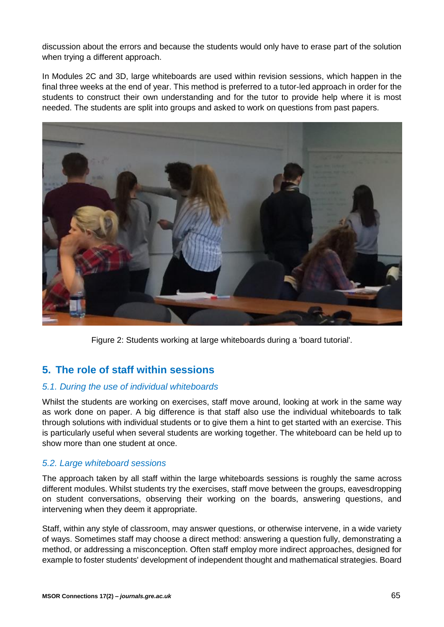discussion about the errors and because the students would only have to erase part of the solution when trying a different approach.

In Modules 2C and 3D, large whiteboards are used within revision sessions, which happen in the final three weeks at the end of year. This method is preferred to a tutor-led approach in order for the students to construct their own understanding and for the tutor to provide help where it is most needed. The students are split into groups and asked to work on questions from past papers.



Figure 2: Students working at large whiteboards during a 'board tutorial'.

## **5. The role of staff within sessions**

#### *5.1. During the use of individual whiteboards*

Whilst the students are working on exercises, staff move around, looking at work in the same way as work done on paper. A big difference is that staff also use the individual whiteboards to talk through solutions with individual students or to give them a hint to get started with an exercise. This is particularly useful when several students are working together. The whiteboard can be held up to show more than one student at once.

#### *5.2. Large whiteboard sessions*

The approach taken by all staff within the large whiteboards sessions is roughly the same across different modules. Whilst students try the exercises, staff move between the groups, eavesdropping on student conversations, observing their working on the boards, answering questions, and intervening when they deem it appropriate.

Staff, within any style of classroom, may answer questions, or otherwise intervene, in a wide variety of ways. Sometimes staff may choose a direct method: answering a question fully, demonstrating a method, or addressing a misconception. Often staff employ more indirect approaches, designed for example to foster students' development of independent thought and mathematical strategies. Board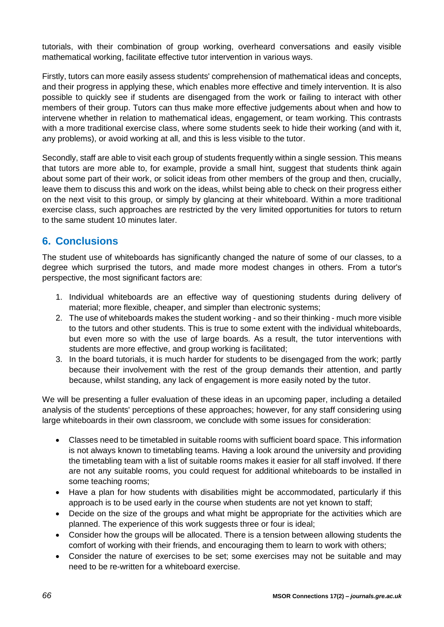tutorials, with their combination of group working, overheard conversations and easily visible mathematical working, facilitate effective tutor intervention in various ways.

Firstly, tutors can more easily assess students' comprehension of mathematical ideas and concepts, and their progress in applying these, which enables more effective and timely intervention. It is also possible to quickly see if students are disengaged from the work or failing to interact with other members of their group. Tutors can thus make more effective judgements about when and how to intervene whether in relation to mathematical ideas, engagement, or team working. This contrasts with a more traditional exercise class, where some students seek to hide their working (and with it, any problems), or avoid working at all, and this is less visible to the tutor.

Secondly, staff are able to visit each group of students frequently within a single session. This means that tutors are more able to, for example, provide a small hint, suggest that students think again about some part of their work, or solicit ideas from other members of the group and then, crucially, leave them to discuss this and work on the ideas, whilst being able to check on their progress either on the next visit to this group, or simply by glancing at their whiteboard. Within a more traditional exercise class, such approaches are restricted by the very limited opportunities for tutors to return to the same student 10 minutes later.

## **6. Conclusions**

The student use of whiteboards has significantly changed the nature of some of our classes, to a degree which surprised the tutors, and made more modest changes in others. From a tutor's perspective, the most significant factors are:

- 1. Individual whiteboards are an effective way of questioning students during delivery of material; more flexible, cheaper, and simpler than electronic systems;
- 2. The use of whiteboards makes the student working and so their thinking much more visible to the tutors and other students. This is true to some extent with the individual whiteboards, but even more so with the use of large boards. As a result, the tutor interventions with students are more effective, and group working is facilitated;
- 3. In the board tutorials, it is much harder for students to be disengaged from the work; partly because their involvement with the rest of the group demands their attention, and partly because, whilst standing, any lack of engagement is more easily noted by the tutor.

We will be presenting a fuller evaluation of these ideas in an upcoming paper, including a detailed analysis of the students' perceptions of these approaches; however, for any staff considering using large whiteboards in their own classroom, we conclude with some issues for consideration:

- Classes need to be timetabled in suitable rooms with sufficient board space. This information is not always known to timetabling teams. Having a look around the university and providing the timetabling team with a list of suitable rooms makes it easier for all staff involved. If there are not any suitable rooms, you could request for additional whiteboards to be installed in some teaching rooms;
- Have a plan for how students with disabilities might be accommodated, particularly if this approach is to be used early in the course when students are not yet known to staff;
- Decide on the size of the groups and what might be appropriate for the activities which are planned. The experience of this work suggests three or four is ideal;
- Consider how the groups will be allocated. There is a tension between allowing students the comfort of working with their friends, and encouraging them to learn to work with others;
- Consider the nature of exercises to be set; some exercises may not be suitable and may need to be re-written for a whiteboard exercise.